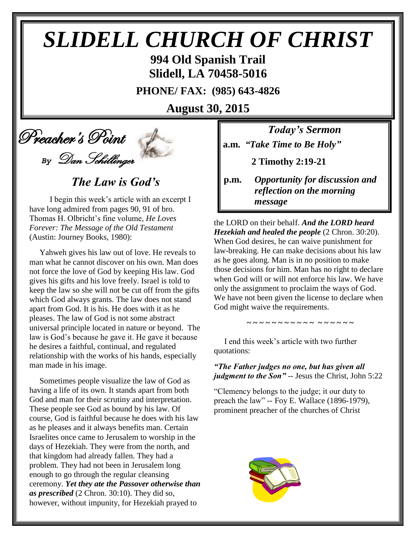# *SLIDELL CHURCH OF CHRIST*

**994 Old Spanish Trail Slidell, LA 70458-5016**

**PHONE/ FAX: (985) 643-4826**

**August 30, 2015**

 Preacher's Point *By* Dan Schillinger

*The Law is God's*

 I begin this week's article with an excerpt I have long admired from pages 90, 91 of bro. Thomas H. Olbricht's fine volume, *He Loves Forever: The Message of the Old Testament* (Austin: Journey Books, 1980):

 Yahweh gives his law out of love. He reveals to man what he cannot discover on his own. Man does not force the love of God by keeping His law. God gives his gifts and his love freely. Israel is told to keep the law so she will not be cut off from the gifts which God always grants. The law does not stand apart from God. It is his. He does with it as he pleases. The law of God is not some abstract universal principle located in nature or beyond. The law is God's because he gave it. He gave it because he desires a faithful, continual, and regulated relationship with the works of his hands, especially man made in his image.

 Sometimes people visualize the law of God as having a life of its own. It stands apart from both God and man for their scrutiny and interpretation. These people see God as bound by his law. Of course, God is faithful because he does with his law as he pleases and it always benefits man. Certain Israelites once came to Jerusalem to worship in the days of Hezekiah. They were from the north, and that kingdom had already fallen. They had a problem. They had not been in Jerusalem long enough to go through the regular cleansing ceremony. *Yet they ate the Passover otherwise than as prescribed* (2 Chron. 30:10). They did so, however, without impunity, for Hezekiah prayed to

*Today's Sermon* **a.m.** *"Take Time to Be Holy"*

 **2 Timothy 2:19-21**

**p.m.** *Opportunity for discussion and*  *reflection on the morning message*

the LORD on their behalf. *And the LORD heard*  *Hezekiah and healed the people* (2 Chron. 30:20). When God desires, he can waive punishment for law-breaking. He can make decisions about his law as he goes along. Man is in no position to make those decisions for him. Man has no right to declare when God will or will not enforce his law. We have only the assignment to proclaim the ways of God. We have not been given the license to declare when God might waive the requirements.

 I end this week's article with two further quotations:

*"The Father judges no one, but has given all judgment to the Son"* -- Jesus the Christ, John 5:22

**~ ~ ~ ~ ~ ~ ~ ~ ~ ~ ~ ~ ~ ~ ~ ~ ~**

"Clemency belongs to the judge; it our duty to preach the law" -- Foy E. Wallace (1896-1979), prominent preacher of the churches of Christ

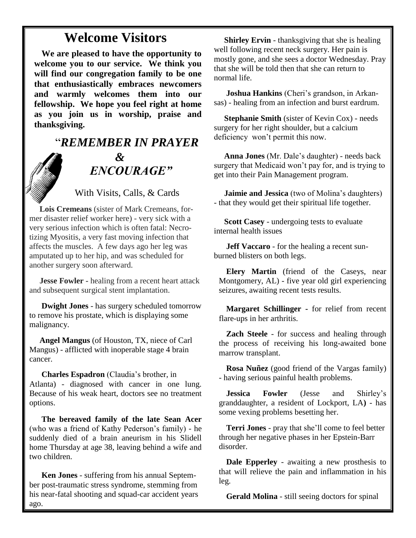## **Welcome Visitors**

**We are pleased to have the opportunity to welcome you to our service. We think you will find our congregation family to be one that enthusiastically embraces newcomers and warmly welcomes them into our fellowship. We hope you feel right at home as you join us in worship, praise and thanksgiving.**

# "*REMEMBER IN PRAYER &* " *ENCOURAGE"*

With Visits, Calls, & Cards

 **Lois Cremeans** (sister of Mark Cremeans, former disaster relief worker here) - very sick with a very serious infection which is often fatal: Necrotizing Myositis, a very fast moving infection that affects the muscles. A few days ago her leg was amputated up to her hip, and was scheduled for another surgery soon afterward.

 **Jesse Fowler -** healing from a recent heart attack and subsequent surgical stent implantation.

 **Dwight Jones** - has surgery scheduled tomorrow to remove his prostate, which is displaying some malignancy.

 **Angel Mangus** (of Houston, TX, niece of Carl Mangus) - afflicted with inoperable stage 4 brain cancer.

**Charles Espadron** (Claudia's brother, in Atlanta) - diagnosed with cancer in one lung. Because of his weak heart, doctors see no treatment options.

 **The bereaved family of the late Sean Acer** (who was a friend of Kathy Pederson's family) - he suddenly died of a brain aneurism in his Slidell home Thursday at age 38, leaving behind a wife and two children.

 **Ken Jones** - suffering from his annual September post-traumatic stress syndrome, stemming from his near-fatal shooting and squad-car accident years ago.

**Shirley Ervin** - thanksgiving that she is healing well following recent neck surgery. Her pain is mostly gone, and she sees a doctor Wednesday. Pray that she will be told then that she can return to normal life.

 **Joshua Hankins** (Cheri's grandson, in Arkansas) - healing from an infection and burst eardrum.

 **Stephanie Smith** (sister of Kevin Cox) - needs surgery for her right shoulder, but a calcium deficiency won't permit this now.

 **Anna Jones** (Mr. Dale's daughter) - needs back surgery that Medicaid won't pay for, and is trying to get into their Pain Management program.

 **Jaimie and Jessica** (two of Molina's daughters) - that they would get their spiritual life together.

 **Scott Casey** - undergoing tests to evaluate internal health issues

 **Jeff Vaccaro** - for the healing a recent sunburned blisters on both legs.

**Elery Martin** (friend of the Caseys, near Montgomery, AL) - five year old girl experiencing seizures, awaiting recent tests results.

**Margaret Schillinger -** for relief from recent flare-ups in her arthritis.

**Zach Steele** - for success and healing through the process of receiving his long-awaited bone marrow transplant.

**Rosa Nuñez** (good friend of the Vargas family) - having serious painful health problems.

**Jessica Fowler** (Jesse and Shirley's granddaughter, a resident of Lockport, LA**)** - has some vexing problems besetting her.

**Terri Jones** - pray that she'll come to feel better through her negative phases in her Epstein-Barr disorder.

**Dale Epperley** - awaiting a new prosthesis to that will relieve the pain and inflammation in his leg.

**Gerald Molina** - still seeing doctors for spinal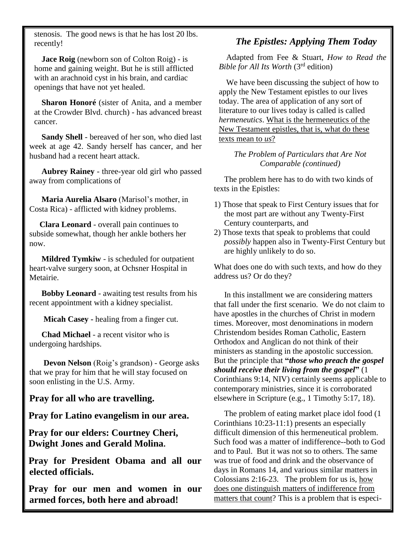stenosis. The good news is that he has lost 20 lbs. recently!

**Jace Roig** (newborn son of Colton Roig) - is home and gaining weight. But he is still afflicted with an arachnoid cyst in his brain, and cardiac openings that have not yet healed.

**Sharon Honoré** (sister of Anita, and a member at the Crowder Blvd. church) - has advanced breast cancer.

 **Sandy Shell** - bereaved of her son, who died last week at age 42. Sandy herself has cancer, and her husband had a recent heart attack.

 **Aubrey Rainey** - three-year old girl who passed away from complications of

 **Maria Aurelia Alsaro** (Marisol's mother, in Costa Rica) - afflicted with kidney problems.

 **Clara Leonard** - overall pain continues to subside somewhat, though her ankle bothers her now.

 **Mildred Tymkiw** - is scheduled for outpatient heart-valve surgery soon, at Ochsner Hospital in Metairie.

 **Bobby Leonard** - awaiting test results from his recent appointment with a kidney specialist.

 **Micah Casey -** healing from a finger cut.

 **Chad Michael** - a recent visitor who is undergoing hardships.

 **Devon Nelson** (Roig's grandson) - George asks that we pray for him that he will stay focused on soon enlisting in the U.S. Army.

**Pray for all who are travelling.**

**Pray for Latino evangelism in our area.**

**Pray for our elders: Courtney Cheri, Dwight Jones and Gerald Molina.**

**Pray for President Obama and all our elected officials.**

**Pray for our men and women in our armed forces, both here and abroad!**

### *The Epistles: Applying Them Today*

Adapted from Fee & Stuart, *How to Read the Bible for All Its Worth* (3rd edition)

We have been discussing the subject of how to apply the New Testament epistles to our lives today. The area of application of any sort of literature to our lives today is called is called *hermeneutics*. What is the hermeneutics of the New Testament epistles, that is, what do these texts mean to *us*?

#### *The Problem of Particulars that Are Not Comparable (continued)*

 The problem here has to do with two kinds of texts in the Epistles:

- 1) Those that speak to First Century issues that for the most part are without any Twenty-First Century counterparts, and
- 2) Those texts that speak to problems that could *possibly* happen also in Twenty-First Century but are highly unlikely to do so.

What does one do with such texts, and how do they address us? Or do they?

 In this installment we are considering matters that fall under the first scenario. We do not claim to have apostles in the churches of Christ in modern times. Moreover, most denominations in modern Christendom besides Roman Catholic, Eastern Orthodox and Anglican do not think of their ministers as standing in the apostolic succession. But the principle that **"***those who preach the gospel should receive their living from the gospel***"** (1 Corinthians 9:14, NIV) certainly seems applicable to contemporary ministries, since it is corroborated elsewhere in Scripture (e.g., 1 Timothy 5:17, 18).

 The problem of eating market place idol food (1 Corinthians 10:23-11:1) presents an especially difficult dimension of this hermeneutical problem. Such food was a matter of indifference--both to God and to Paul. But it was not so to others. The same was true of food and drink and the observance of days in Romans 14, and various similar matters in Colossians 2:16-23. The problem for us is, how does one distinguish matters of indifference from matters that count? This is a problem that is especi